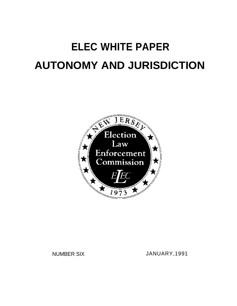# **ELEC WHITE PAPER AUTONOMY AND JURISDICTION**



NUMBER SIX JANUARY,1991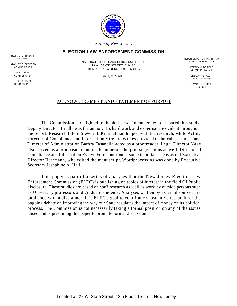

*State of New Jersey*

## **ELECTION LAW ENFORCEMENT COMMISSION**

OWEN V. MCNANY, III

STANLEY G. BEDFORD<br>COMMISSIONER

DAVID LINETT

S. ELLIOT MAYO<br>COMMISSIONER

NATIONAL STATE BANK BLDG., SUITE 1215 28 W. STATE STREET, CN-185 TRENTON, NEW JERSEY 08625-0185 COMMISSIONER JEFFREY M. BRINDLE

FREDERICK M. HERRMANN, Ph.D.<br>EXECUTIVE DIRECTOR

DEPUTY DIRECTOR

COMMISSIONER (609) 292-8700 GREGORY E. NAGY LEGAL DIRECTOR

COMMISSIONER EDWARD J. FARRELL **COUNSEL** 

## ACKNOWLEDGMENT AND STATEMENT OF PURPOSE

The Commission is delighted to thank the staff members who prepared this study. Deputy Director Brindle was the author. His hard work and expertise are evident throughout the report. Research Intern Steven B. Kimmelman helped with the research, while Acting Director of Compliance and Information Virginia Wilkes provided technical assistance and Director of Administration Barbra Fasanella acted as a proofreader. Legal Director Nagy also served as a proofreader and made numerous helpful suggestions as well. Director of Compliance and Information Evelyn Ford contributed some important ideas as did Executive Director Herrmann, who edited the manuscript. Wordprocessing was done by Executive Secretary Josephine A. Hall.

This paper is part of a series of analyses that the New Jersey Election Law Enforcement Commission (ELEC) is publishing on topics of interest in the field Of Public disclosure. These studies are based on staff research as well as work by outside persons such as University professors and graduate students. Analyses written by external sources are published with a disclaimer. It is ELEC's goal to contribute substantive research for the ongoing debate on improving the way our State regulates the impact of money on its political process. The Commission is not necessarily taking a formal position on any of the issues raised and is presuming this paper to promote formal discussion.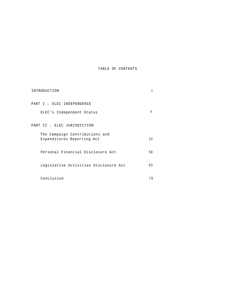#### TABLE OF CONTENTS

| INTRODUCTION                                                 |      |
|--------------------------------------------------------------|------|
| PART I - ELEC INDEPENDENCE                                   |      |
| ELEC's Independent Status                                    |      |
| PART II - ELEC JURISDICTION                                  |      |
| The Campaign Contributions and<br>Expenditures Reporting Act | 2.2. |
| Personal Financial Disclosure Act                            | 58   |
| Legislative Activities Disclosure Act                        | 63   |
| Conclusion                                                   | 70   |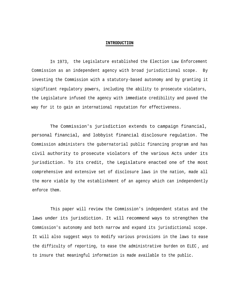#### **INTRODUCTION**

In 1973, the Legislature established the Election Law Enforcement Commission as an independent agency with broad jurisdictional scope. By investing the Commission with a statutory-based autonomy and by granting it significant regulatory powers, including the ability to prosecute violators, the Legislature infused the agency with immediate credibility and paved the way for it to gain an international reputation for effectiveness.

The Commission's jurisdiction extends to campaign financial, personal financial, and lobbyist financial disclosure regulation. The Commission administers the gubernatorial public financing program and has civil authority to prosecute violators of the various Acts under its jurisdiction. To its credit, the Legislature enacted one of the most comprehensive and extensive set of disclosure laws in the nation, made all the more viable by the establishment of an agency which can independently enforce them.

This paper will review the Commission's independent status and the laws under its jurisdiction. It will recommend ways to strengthen the Commission's autonomy and both narrow and expand its jurisdictional scope. It will also suggest ways to modify various provisions in the laws to ease the difficulty of reporting, to ease the administrative burden on ELEC , andto insure that meaningful information is made available to the public.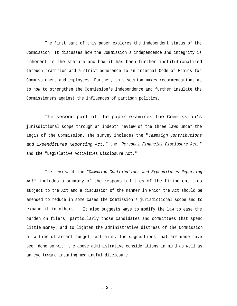The first part of this paper explores the independent status of the Commission. It discusses how the Commission's independence and integrity is inherent in the statute and how it has been further institutionalized through tradition and a strict adherence to an internal Code of Ethics for Commissioners and employees. Further, this section makes recommendations as to how to strengthen the Commission's independence and further insulate the Commissioners against the influences of partisan politics.

The second part of the paper examines the Commission's jurisdictional scope through an indepth review of the three laws under the aegis of the Commission. The survey includes the "*Campaign Contributions and Expenditures Reporting Act,"* the "*Personal Financial Disclosure Act,"* and the "Legislative Activities Disclosure Act."

The review of the *"Campaign Contributions and Expenditures Reporting Act"* includes a summary of the responsibilities of the filing entities subject to the Act and a discussion of the manner in which the Act should be amended to reduce in some cases the Commission's jurisdictional scope and to expand it in others. It also suggests ways to modify the law to ease the burden on filers, particularly those candidates and committees that spend little money, and to lighten the administrative distress of the Commission at a time of arrant budget restraint. The suggestions that are made have been done so with the above administrative considerations in mind as well as an eye toward insuring meaningful disclosure.

- 2 -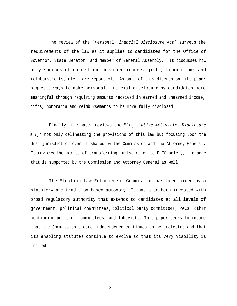The review of the "*Personal Financial Disclosure Act"* surveys the requirements of the law as it applies to candidates for the Office of Governor, State Senator, and member of General Assembly. It discusses how only sources of earned and unearned income, gifts, honorariums and reimbursements, etc., are reportable. As part of this discussion, the paper suggests ways to make personal financial disclosure by candidates more meaningful through requiring amounts received in earned and unearned income, gifts, honoraria and reimbursements to be more fully disclosed.

Finally, the paper reviews the "*Legislative Activities Disclosure Act,*" not only delineating the provisions of this law but focusing upon the dual jurisdiction over it shared by the Commission and the Attorney General. It reviews the merits of transferring jurisdiction to ELEC solely, a change that is supported by the Commission and Attorney General as well.

The Election Law Enforcement Commission has been aided by a statutory and tradition-based autonomy. It has also been invested with broad regulatory authority that extends to candidates at all levels of government, political committees, political party committees, PACs, other continuing political committees, and lobbyists. This paper seeks to insure that the Commission's core independence continues to be protected and that its enabling statutes continue to evolve so that its very viability is insured.

- 3 -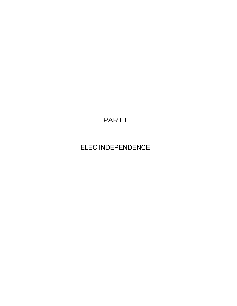# PART I

# ELEC INDEPENDENCE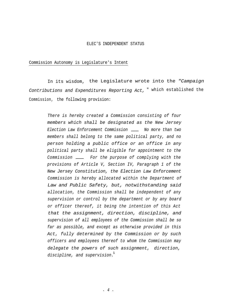#### ELEC'S INDEPENDENT STATUS

#### Commission Autonomy is Legislature's Intent

In its wisdom, the Legislature wrote into the *"Campaign Contributions and Expenditures Reporting Act,* " which established the Commission, the following provision:

> *There is hereby created a Commission consisting of four members which shall be designated as the New Jersey Election Law Enforcement Commission No more than two members shall belong to the same political party, and no person holding a public office or an office in any political party shall be eligible for appointment to the Commission For the purpose of complying with the provisions of Article V, Section IV, Paragraph 1 of the New Jersey Constitution, the Election Law Enforcement Commission is hereby allocated within the Department of Law and Public Safety, but, notwithstanding said allocation, the Commission shall be independent of any supervision or control by the department or by any board or officer thereof, it being the intention of this Act that the assignment, direction, discipline, and supervision of all employees of the Commission shall be so far as possible, and except as otherwise provided in this Act, fully determined by the Commission or by such officers and employees thereof to whom the Commission may delegate the powers of such assignment, direction, discipline, and supervision.* 1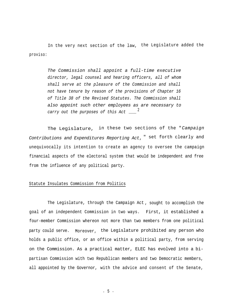In the very next section of the law, the Legislature added the proviso:

> *The Commission shall appoint a full-time executive director, legal counsel and hearing officers, all of whom shall serve at the pleasure of the Commission and shall not have tenure by reason of the provisions of Chapter 16 of Title 38 of the Revised Statutes. The Commission shall also appoint such other employees as are necessary to* <sup>2</sup> *carry out the purposes of this Act*

The Legislature, in these two sections of the "*Campaign Contributions and Expenditures Reporting Act*, " set forth clearly and unequivocally its intention to create an agency to oversee the campaign financial aspects of the electoral system that would be independent and free from the influence of any political party.

#### Statute Insulates Commission from Politics

The Legislature, through the Campaign Act , sought to accomplish the goal of an independent Commission in two ways. First, it established a four-member Commission whereon not more than two members from one political party could serve. Moreover, the Legislature prohibited any person who holds a public office, or an office within a political party, from serving on the Commission. As a practical matter, ELEC has evolved into a bipartisan Commission with two Republican members and two Democratic members, all appointed by the Governor, with the advice and consent of the Senate,

- 5 -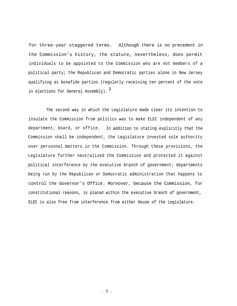for three-year staggered terms. Although there is no precedent in the Commission's history, the statute, nevertheless, does permit individuals to be appointed to the Commission who are not members of a political party; the Republican and Democratic parties alone in New Jersey qualifying as bonafide parties (regularly receiving ten percent of the vote in elections for General Assembly).  $3$ 

The second way in which the Legislature made clear its intention to insulate the Commission from politics was to make ELEC independent of any department, board, or office. In addition to stating explicitly that the Commission shall be independent, the Legislature invested sole authority over personnel matters in the Commission. Through these provisions, the Legislature further neutralized the Commission and protected it against political interference by the executive branch of government; departments being run by the Republican or Democratic administration that happens to control the Governor's Office. Moreover, because the Commission, for constitutional reasons, is placed within the executive branch of government, ELEC is also free from interference from either House of the Legislature.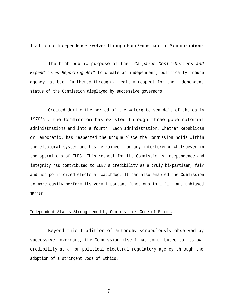#### Tradition of Independence Evolves Through Four Gubernatorial Administrations

The high public purpose of the "*Campaign Contributions and Expenditures Reporting Act*" to create an independent, politically immune agency has been furthered through a healthy respect for the independent status of the Commission displayed by successive governors.

Created during the period of the Watergate scandals of the early 1970's , the Commission has existed through three gubernatorial administrations and into a fourth. Each administration, whether Republican or Democratic, has respected the unique place the Commission holds within the electoral system and has refrained from any interference whatsoever in the operations of ELEC. This respect for the Commission's independence and integrity has contributed to ELEC's credibility as a truly bi-partisan, fair and non-politicized electoral watchdog. It has also enabled the Commission to more easily perform its very important functions in a fair and unbiased manner.

#### Independent Status Strengthened by Commission's Code of Ethics

Beyond this tradition of autonomy scrupulously observed by successive governors, the Commission itself has contributed to its own credibility as a non-political electoral regulatory agency through the adoption of a stringent Code of Ethics.

- 7 -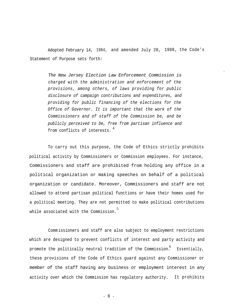Adopted February 14, 1984, and amended July 20, 1988, the Code's Statement of Purpose sets forth:

-

*The New Jersey Election Law Enforcement Commission is charged with the administration and enforcement of the provisions, among others, of laws providing for public disclosure of campaign contributions and expenditures, and providing for public financing of the elections for the Office of Governor. It is important that the work of the Commissioners and of staff of the Commission be, and be publicly perceived to be, free from partisan influence and* 4 from conflicts of interests.

To carry out this purpose, the Code of Ethics strictly prohibits political activity by Commissioners or Commission employees. For instance, Commissioners and staff are prohibited from holding any office in a political organization or making speeches on behalf of a political organization or candidate. Moreover, Commissioners and staff are not allowed to attend partisan political functions or have their homes used for a political meeting. They are not permitted to make political contributions while associated with the Commission. 5

Comm issioners and staff are also subject to employment restrictions which are designed to prevent conflicts of interest and party activity and promote the politically neutral tradition of the Commission. 6 Essentially, these provisions of the Code of Ethics guard against any Commissioner or member of the staff having any business or employment interest in any activity over which the Commission has regulatory authority. It prohibits

- 8 -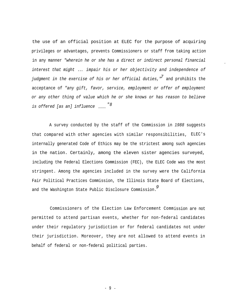the use of an official position at ELEC for the purpose of acquiring privileges or advantages, prevents Commissioners or staff from taking action in any manner *"wherein he or she has a direct or indirect personal financial interest that might* ... *impair his or her objectivity and independence of judgment in the exercise of his or her official duties,"* and prohibits the *7* acceptance of *"any gift, favor, service, employment or offer of employment or any other thing of value which he or she knows or has reason to believe "8 is offered [as an] influence*

*-*

A survey conducted by the staff of the Commission in *1988* suggests that compared with other agencies with similar responsibilities, ELEC's internally generated Code of Ethics may be the strictest among such agencies in the nation. Certainly, among the eleven sister agencies surveyed, including the Federal Elections Commission (FEC), the ELEC Code was the most stringent. Among the agencies included in the survey were the California Fair Political Practices Commission, the Illinois State Board of Elections, and the Washington State Public Disclosure Commission. *9*

Commissioners of the Election Law Enforcement Commission are not permitted to attend partisan events, whether for non-federal candidates under their regulatory jurisdiction or for federal candidates not under their jurisdiction. Moreover, they are not allowed to attend events in behalf of federal or non-federal political parties.

- 9 -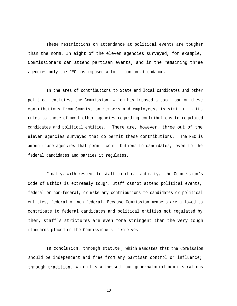These restrictions on attendance at political events are tougher than the norm. In eight of the eleven agencies surveyed, for example, Commissioners can attend partisan events, and in the remaining three agencies only the FEC has imposed a total ban on attendance.

In the area of contributions to State and local candidates and other political entities, the Commission, which has imposed a total ban on these contributions from Commission members and employees, is similar in its rules to those of most other agencies regarding contributions to regulated candidates and political entities. There are, however, three out of the eleven agencies surveyed that do permit these contributions. The FEC is among those agencies that permit contributions to candidates, even to the federal candidates and parties it regulates.

Finally, with respect to staff political activity, the Commission's Code of Ethics is extremely tough. Staff cannot attend political events, federal or non-federal, or make any contributions to candidates or political entities, federal or non-federal. Because Commission members are allowed to contribute to federal candidates and political entities not regulated by them, staff's strictures are even more stringent than the very tough standards placed on the Commissioners themselves.

In conclusion, through statute , which mandates that the Commission should be independent and free from any partisan control or influence; through tradition, which has witnessed four gubernatorial administrations

- 10 -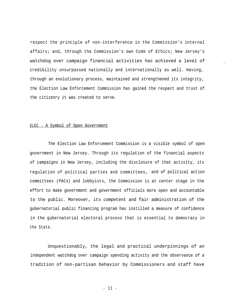respect the principle of non-interference in the Commission's internal affairs; and, through the Commission's own Code of Ethics; New Jersey's watchdog over campaign financial activities has achieved a level of credibility unsurpassed nationally and internationally as well. Having, through an evolutionary process, maintained and strengthened its integrity, the Election Law Enforcement Commission has gained the respect and trust of the citizenry it was created to serve.

-

#### ELEC - A Symbol of Open Government

The Election Law Enforcement Commission is a visible symbol of open government in New Jersey. Through its regulation of the financial aspects of campaigns in New Jersey, including the disclosure of that activity, its regulation of political parties and committees, and of political action committees (PACs) and lobbyists, the Commission is at center stage in the effort to make government and government officials more open and accountable to the public. Moreover, its competent and fair administration of the gubernatorial public financing program has instilled a measure of confidence in the gubernatorial electoral process that is essential to democracy in the State.

Unquestionably, the legal and practical underpinnings of an independent watchdog over campaign spending activity and the observance of a tradition of non-partisan behavior by Commissioners and staff have

- 11 -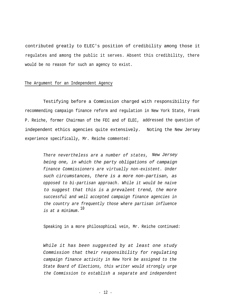contributed greatly to ELEC's position of credibility among those it regulates and among the public it serves. Absent this credibility, there would be no reason for such an agency to exist.

#### The Argument for an Independent Agency

Testifying before a Commission charged with responsibility for recommending campaign finance reform and regulation in New York State, Frank P. Reiche, former Chairman of the FEC and of ELEC, addressed the question of independent ethics agencies quite extensively. Noting the New Jersey experience specifically, Mr. Reiche commented:

> *There nevertheless are a number of states, New Jersey being one, in which the party obligations of campaign finance Commissioners are virtually non-existent. Under such circumstances, there is a more non-partisan, as opposed to bi-partisan approach. While it would be naive to suggest that this is a prevalent trend, the more successful and well accepted campaign finance agencies in the country are frequently those where partisan influence* <sup>10</sup> *is at a minimum.*

Speaking in a more philosophical vein, Mr. Reiche continued:

*While it has been suggested by at least one study Commission that their responsibility for regulating campaign finance activity in New York be assigned to the State Board of Elections, this writer would strongly urge the Commission to establish a separate and independent*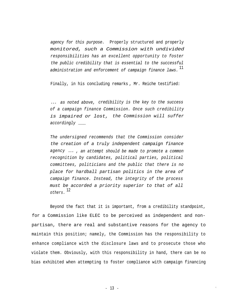*agency for this purpose.* Properly structured and properly *monitored, such a Commission with undivided responsibilities has an excellent opportunity to foster the public credibility that is essential to the successful* <sup>11</sup> *administration and enforcement of campaign finance laws.*

Finally, in his concluding remarks , Mr. Reiche testified:

*... as noted above, credibility is the key to the success of a campaign finance Commission. Once such credibility is impaired or lost, the Commission will suffer accordingly*

*The undersigned recommends that the Commission consider the creation of a truly independent campaign finance agency ... , an attempt should be made to promote a common recognition by candidates, political parties, political committees, politicians and the public that there is no place for hardball partisan politics in the area of campaign finance. Instead, the integrity of the process must be accorded a priority superior to that of all* <sup>12</sup> *others.*

Beyond the fact that it is important, from a credibility standpoint, for a Commission like ELEC to be perceived as independent and nonpartisan, there are real and substantive reasons for the agency to maintain this position; namely, the Commission has the responsibility to enhance compliance with the disclosure laws and to prosecute those who violate them. Obviously, with this responsibility in hand, there can be no bias exhibited when attempting to foster compliance with campaign financing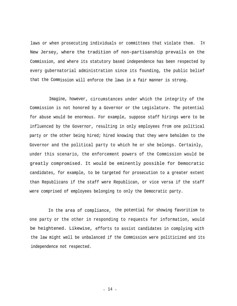laws or when prosecuting individuals or committees that violate them. In New Jersey, where the tradition of non-partisanship prevails on the Commission, and where its statutory based independence has been respected by every gubernatorial administration since its founding, the public belief that the Commission will enforce the laws in a fair manner is strong.

Imagine, however, circumstances under which the integrity of the Commission is not honored by a Governor or the Legislature. The potential for abuse would be enormous. For example, suppose staff hirings were to be influenced by the Governor, resulting in only employees from one political party or the other being hired; hired knowing that they were beholden to the Governor and the political party to which he or she belongs. Certainly, under this scenario, the enforcement powers of the Commission would be greatly compromised. It would be eminently possible for Democratic candidates, for example, to be targeted for prosecution to a greater extent than Republicans if the staff were Republican, or vice versa if the staff were comprised of employees belonging to only the Democratic party.

In the area of compliance, the potential for showing favoritism to one party or the other in responding to requests for information, would be heightened. Likewise, efforts to assist candidates in complying with the law might well be unbalanced if the Commission were politicized and its independence not respected.

- 14 -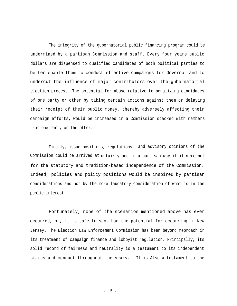The integrity of the gubernatorial public financing program could be undermined by a partisan Commission and staff. Every four years public dollars are dispensed to qualified candidates of both political parties to better enable them to conduct effective campaigns for Governor and to undercut the influence of major contributors over the gubernatorial election process. The potential for abuse relative to penalizing candidates of one party or other by taking certain actions against them or delaying their receipt of their public money, thereby adversely affecting their campaign efforts, would be increased in a Commission stacked with members from one party or the other.

Finally, issue positions, regulations, and advisory opinions of the Commission could be arrived at unfairly and in a partisan way if it were not for the statutory and tradition-based independence of the Commission. Indeed, policies and policy positions would be inspired by partisan considerations and not by the more laudatory consideration of what is in the public interest.

Fortunately, none of the scenarios mentioned above has ever occurred, or, it is safe to say, had the potential for occurring in New Jersey. The Election Law Enforcement Commission has been beyond reproach in its treatment of campaign finance and lobbyist regulation. Principally, its solid record of fairness and neutrality is a testament to its independent status and conduct throughout the years. It is Also a testament to the

- 15 -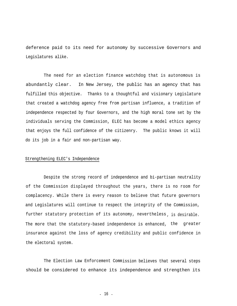deference paid to its need for autonomy by successive Governors and Legislatures alike.

The need for an election finance watchdog that is autonomous is abundantly clear. In New Jersey, the public has an agency that has fulfilled this objective. Thanks to a thoughtful and visionary Legislature that created a watchdog agency free from partisan influence, a tradition of independence respected by four Governors, and the high moral tone set by the individuals serving the Commission, ELEC has become a model ethics agency that enjoys the full confidence of the citizenry. The public knows it will do its job in a fair and non-partisan way.

#### Strengthening ELEC's Independence

Despite the strong record of independence and bi-partisan neutrality of the Commission displayed throughout the years, there is no room for complacency. While there is every reason to believe that future governors and Legislatures will continue to respect the integrity of the Commission, further statutory protection of its autonomy, nevertheless , is desirable. The more that the statutory-based independence is enhanced, the greater insurance against the loss of agency credibility and public confidence in the electoral system.

The Election Law Enforcement Commission believes that several steps should be considered to enhance its independence and strengthen its

- 16 -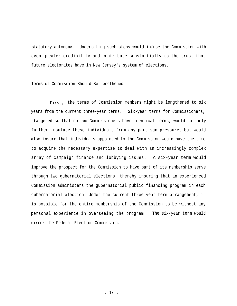statutory autonomy. Undertaking such steps would infuse the Commission with even greater credibility and contribute substantially to the trust that future electorates have in New Jersey's system of elections.

#### Terms of Commission Should Be Lengthened

First, the terms of Commission members might be lengthened to six years from the current three-year terms. Six-year terms for Commissioners, staggered so that no two Commissioners have identical terms, would not only further insulate these individuals from any partisan pressures but would also insure that individuals appointed to the Commission would have the time to acquire the necessary expertise to deal with an increasingly complex array of campaign finance and lobbying issues. A six-year term would improve the prospect for the Commission to have part of its membership serve through two gubernatorial elections, thereby insuring that an experienced Commission administers the gubernatorial public financing program in each gubernatorial election. Under the current three-year term arrangement, it is possible for the entire membership of the Commission to be without any personal experience in overseeing the program. The six-year term would mirror the Federal Election Commission.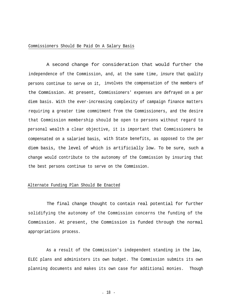#### Commissioners Should Be Paid On A Salary Basis

A second change for consideration that would further the independence of the Commission, and, at the same time, insure that quality persons continue to serve on it, involves the compensation of the members of the Commission. At present, Commissioners' expenses are defrayed on a per diem basis. With the ever-increasing complexity of campaign finance matters requiring a greater time commitment from the Commissioners, and the desire that Commission membership should be open to persons without regard to personal wealth a clear objective, it is important that Commissioners be compensated on a salaried basis, with State benefits, as opposed to the per diem basis, the level of which is artificially low. To be sure, such a change would contribute to the autonomy of the Commission by insuring that the best persons continue to serve on the Commission.

#### Alternate Funding Plan Should Be Enacted

The final change thought to contain real potential for further solidifying the autonomy of the Commission concerns the funding of the Commission. At present, the Commission is funded through the normal appropriations process.

As a result of the Commission's independent standing in the law, ELEC plans and administers its own budget. The Commission submits its own planning documents and makes its own case for additional monies. Though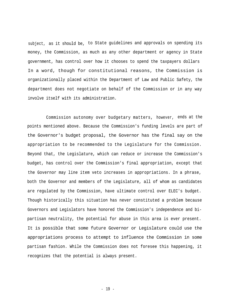subject, as it should be, to State guidelines and approvals on spending its money, the Commission, as much as any other department or agency in State government, has control over how it chooses to spend the taxpayers dollars In a word, though for constitutional reasons, the Commission is organizationally placed within the Department of Law and Public Safety, the department does not negotiate on behalf of the Commission or in any way involve itself with its administration.

Commission autonomy over budgetary matters, however, ends at the points mentioned above. Because the Commission's funding levels are part of the Governor's budget proposal, the Governor has the final say on the appropriation to be recommended to the Legislature for the Commission. Beyond that, the Legislature, which can reduce or increase the Commission's budget, has control over the Commission's final appropriation, except that the Governor may line item veto increases in appropriations. In a phrase, both the Governor and members of the Legislature, all of whom as candidates are regulated by the Commission, have ultimate control over ELEC's budget. Though historically this situation has never constituted a problem because Governors and Legislators have honored the Commission's independence and bipartisan neutrality, the potential for abuse in this area is ever present. It is possible that some future Governor or Legislature could use the appropriations process to attempt to influence the Commission in some partisan fashion. While the Commission does not foresee this happening, it recognizes that the potential is always present.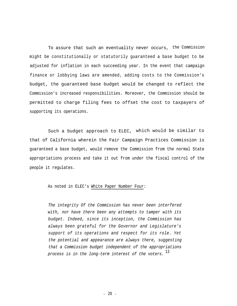To assure that such an eventuality never occurs, the Commission might be constitutionally or statutorily guaranteed a base budget to be adjusted for inflation in each succeeding year. In the event that campaign finance or lobbying laws are amended, adding costs to the Commission's budget, the guaranteed base budget would be changed to reflect the Commission's increased responsibilities. Moreover, the Commission should be permitted to charge filing fees to offset the cost to taxpayers of supporting its operations.

Such a budget approach to ELEC, which would be similar to that of California wherein the Fair Campaign Practices Commission is guaranteed a base budget, would remove the Commission from the normal State appropriations process and take it out from under the fiscal control of the people it regulates.

#### As noted in ELEC's White Paper Number Four:

*The integrity Of the Commission has never been interfered with, nor have there been any attempts to tamper with its budget. Indeed, since its inception, the Commission has always been grateful for the Governor and Legislature's support of its operations and respect for its role. Yet the potential and appearance are always there, suggesting that a Commission budget independent of the appropriations* <sup>13</sup> *process is in the long-term interest of the voters.*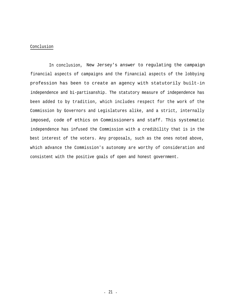#### Conclusion

In conclusion, New Jersey's answer to regulating the campaign financial aspects of campaigns and the financial aspects of the lobbying profession has been to create an agency with statutorily built-in independence and bi-partisanship. The statutory measure of independence has been added to by tradition, which includes respect for the work of the Commission by Governors and Legislatures alike, and a strict, internally imposed, code of ethics on Commissioners and staff. This systematic independence has infused the Commission with a credibility that is in the best interest of the voters. Any proposals, such as the ones noted above, which advance the Commission's autonomy are worthy of consideration and consistent with the positive goals of open and honest government.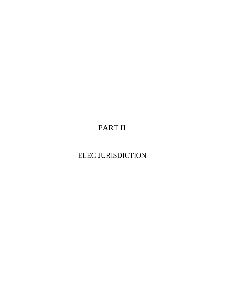PART II

ELEC JURISDICTION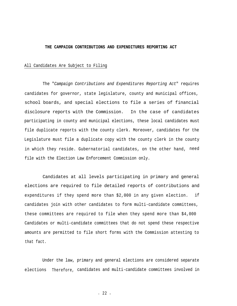#### **THE CAMPAIGN CONTRIBUTIONS AND EXPENDITURES REPORTING ACT**

#### All Candidates Are Subject to Filing

The "*Campaign Contributions and Expenditures Reporting Act*" requires candidates for governor, state legislature, county and municipal offices, school boards, and special elections to file a series of financial disclosure reports with the Commission. In the case of candidates participating in county and municipal elections, these local candidates must file duplicate reports with the county clerk. Moreover, candidates for the Legislature must file a duplicate copy with the county clerk in the county in which they reside. Gubernatorial candidates, on the other hand, need file with the Election Law Enforcement Commission only.

Candidates at all levels participating in primary and general elections are required to file detailed reports of contributions and expenditures if they spend more than \$2,000 in any given election. if candidates join with other candidates to form multi-candidate committees, these committees are required to file when they spend more than \$4,000 Candidates or multi-candidate committees that do not spend these respective amounts are permitted to file short forms with the Commission attesting to that fact.

Under the law, primary and general elections are considered separate elections Therefore, candidates and multi-candidate committees involved in

- 22 -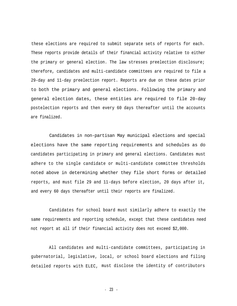these elections are required to submit separate sets of reports for each. These reports provide details of their financial activity relative to either the primary or general election. The law stresses preelection disclosure; therefore, candidates and multi-candidate committees are required to file a 29-day and 11-day preelection report. Reports are due on these dates prior to both the primary and general elections. Following the primary and general election dates, these entities are required to file 20-day postelection reports and then every 60 days thereafter until the accounts are finalized.

Candidates in non-partisan May municipal elections and special elections have the same reporting requirements and schedules as do candidates participating in primary and general elections. Candidates must adhere to the single candidate or multi-candidate committee thresholds noted above in determining whether they file short forms or detailed reports, and must file 29 and 11-days before election, 20 days after it, and every 60 days thereafter until their reports are finalized.

Candidates for school board must similarly adhere to exactly the same requirements and reporting schedule, except that these candidates need not report at all if their financial activity does not exceed \$2,000.

All candidates and multi-candidate committees, participating in gubernatorial, legislative, local, or school board elections and filing detailed reports with ELEC, must disclose the identity of contributors

- 23 -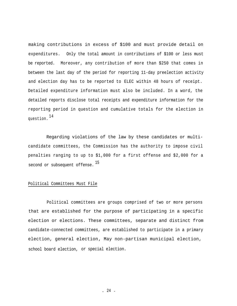making contributions in excess of \$100 and must provide detail on expenditures. Only the total amount in contributions of \$100 or less must be reported. Moreover, any contribution of more than \$250 that comes in between the last day of the period for reporting 11-day preelection activity and election day has to be reported to ELEC within 48 hours of receipt. Detailed expenditure information must also be included. In a word, the detailed reports disclose total receipts and expenditure information for the reporting period in question and cumulative totals for the election in question.<sup>14</sup>

Regarding violations of the law by these candidates or multicandidate committees, the Commission has the authority to impose civil penalties ranging to up to \$1,000 for a first offense and \$2,000 for a second or subsequent offense. 15

#### Political Committees Must File

Political committees are groups comprised of two or more persons that are established for the purpose of participating in a specific election or elections. These committees, separate and distinct from candidate-connected committees, are established to participate in a primary election, general election, May non-partisan municipal election, school board election, or special election.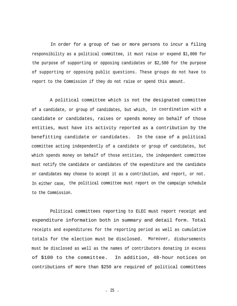In order for a group of two or more persons to incur a filing responsibility as a political committee, it must raise or expend \$1,000 for the purpose of supporting or opposing candidates or \$2,500 for the purpose of supporting or opposing public questions. These groups do not have to report to the Commission if they do not raise or spend this amount.

A political committee which is not the designated committee of a candidate, or group of candidates, but which, in coordination with a candidate or candidates, raises or spends money on behalf of those entities, must have its activity reported as a contribution by the benefitting candidate or candidates. In the case of a political committee acting independently of a candidate or group of candidates, but which spends money on behalf of those entities, the independent committee must notify the candidate or candidates of the expenditure and the candidate or candidates may choose to accept it as a contribution, and report, or not. In either case, the political committee must report on the campaign schedule to the Commission.

Political committees reporting to ELEC must report receipt and expenditure information both in summary and detail form. Total receipts and expenditures for the reporting period as well as cumulative totals for the election must be disclosed. Moreover, disbursements must be disclosed as well as the names of contributors donating in excess of \$100 to the committee. In addition, 48-hour notices on contributions of more than \$250 are required of political committees

- 25 -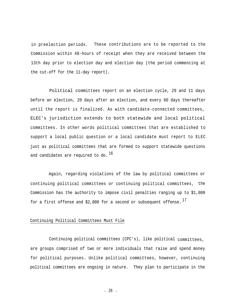in preelection periods. These contributions are to be reported to the Commission within 48-hours of receipt when they are received between the 13th day prior to election day and election day (the period commencing at the cut-off for the 11-day report).

Political committees report on an election cycle, 29 and 11 days before an election, 20 days after an election, and every 60 days thereafter until the report is finalized. As with candidate-connected committees, ELEC's jurisdiction extends to both statewide and local political committees. In other words political committees that are established to support a local public question or a local candidate must report to ELEC just as political committees that are formed to support statewide questions and candidates are required to do.  $^{16}$ 

Again, regarding violations of the law by political committees or continuing political committees or continuing political committees, the Commission has the authority to impose civil penalties ranging up to \$1,000 for a first offense and \$2,000 for a second or subsequent offense.  $^{17}$ 

#### Continuing Political Committees Must File

Continuing political committees (CPC's), like political committees, are groups comprised of two or more individuals that raise and spend money for political purposes. Unlike political committees, however, continuing political committees are ongoing in nature. They plan to participate in the

- 26 -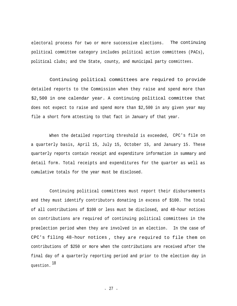electoral process for two or more successive elections. The continuing political committee category includes political action committees (PACs), political clubs; and the State, county, and municipal party committees.

Continuing political committees are required to provide detailed reports to the Commission when they raise and spend more than \$2,500 in one calendar year. A continuing political committee that does not expect to raise and spend more than \$2,500 in any given year may file a short form attesting to that fact in January of that year.

When the detailed reporting threshold is exceeded, CPC's file on a quarterly basis, April 15, July 15, October 15, and January 15. These quarterly reports contain receipt and expenditure information in summary and detail form. Total receipts and expenditures for the quarter as well as cumulative totals for the year must be disclosed.

Continuing political committees must report their disbursements and they must identify contributors donating in excess of \$100. The total of all contributions of \$100 or less must be disclosed, and 48-hour notices on contributions are required of continuing political committees in the preelection period when they are involved in an election. In the case of CPC's filing 48-hour notices , they are required to file them on contributions of \$250 or more when the contributions are received after the final day of a quarterly reporting period and prior to the election day in <sup>18</sup> question.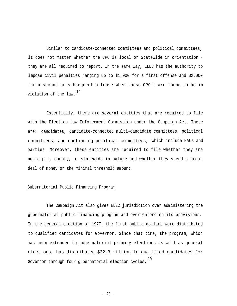Similar to candidate-connected committees and political committees, it does not matter whether the CPC is local or Statewide in orientation they are all required to report. In the same way, ELEC has the authority to impose civil penalties ranging up to \$1,000 for a first offense and \$2,000 for a second or subsequent offense when these CPC's are found to be in violation of the law.  $19$ 

Essentially, there are several entities that are required to file with the Election Law Enforcement Commission under the Campaign Act. These are: candidates, candidate-connected multi-candidate committees, political committees, and continuing political committees, which include PACs and parties. Moreover, these entities are required to file whether they are municipal, county, or statewide in nature and whether they spend a great deal of money or the minimal threshold amount.

### Gubernatorial Public Financing Program

The Campaign Act also gives ELEC jurisdiction over administering the gubernatorial public financing program and over enforcing its provisions. In the general election of 1977, the first public dollars were distributed to qualified candidates for Governor. Since that time, the program, which has been extended to gubernatorial primary elections as well as general elections, has distributed \$32.3 million to qualified candidates for Governor through four gubernatorial election cycles.  $20$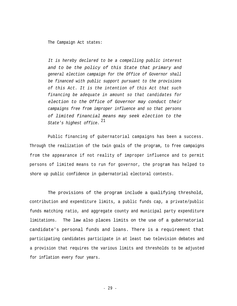The Campaign Act states:

*It is hereby declared to be a compelling public interest and to be the policy of this State that primary and general election campaign for the Office of Governor shall be financed with public support pursuant to the provisions of this Act. It is the intention of this Act that such financing be adequate in amount so that candidates for election to the Office of Governor may conduct their campaigns free from improper influence and so that persons of limited financial means may seek election to the* <sup>21</sup> *State's highest office.*

Public financing of gubernatorial campaigns has been a success. Through the realization of the twin goals of the program, to free campaigns from the appearance if not reality of improper influence and to permit persons of limited means to run for governor, the program has helped to shore up public confidence in gubernatorial electoral contests.

The provisions of the program include a qualifying threshold, contribution and expenditure limits, a public funds cap, a private/public funds matching ratio, and aggregate county and municipal party expenditure limitations. The law also places limits on the use of a gubernatorial candidate's personal funds and loans. There is a requirement that participating candidates participate in at least two television debates and a provision that requires the various limits and thresholds to be adjusted for inflation every four years.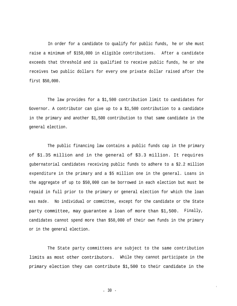In order for a candidate to qualify for public funds, he or she must raise a minimum of \$150,000 in eligible contributions. After a candidate exceeds that threshold and is qualified to receive public funds, he or she receives two public dollars for every one private dollar raised after the first \$50,000.

The law provides for a \$1,500 contribution limit to candidates for Governor. A contributor can give up to a \$1,500 contribution to a candidate in the primary and another \$1,500 contribution to that same candidate in the general election.

The public financing law contains a public funds cap in the primary of \$1.35 million and in the general of \$3.3 million. It requires gubernatorial candidates receiving public funds to adhere to a \$2.2 million expenditure in the primary and a \$5 million one in the general. Loans in the aggregate of up to \$50,000 can be borrowed in each election but must be repaid in full prior to the primary or general election for which the loan was made. No individual or committee, except for the candidate or the State party committee, may guarantee a loan of more than \$1,500. Finally, candidates cannot spend more than \$50,000 of their own funds in the primary or in the general election.

The State party committees are subject to the same contribution limits as most other contributors. While they cannot participate in the primary election they can contribute \$1,500 to their candidate in the

I

- 30 -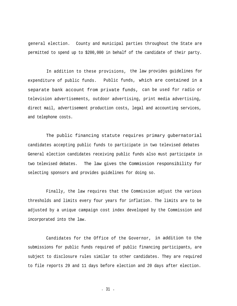general election. County and municipal parties throughout the State are permitted to spend up to \$200,000 in behalf of the candidate of their party.

In addition to these provisions, the law provides guidelines for expenditure of public funds. Public funds, which are contained in a separate bank account from private funds, can be used for radio or television advertisements, outdoor advertising, print media advertising, direct mail, advertisement production costs, legal and accounting services, and telephone costs.

The public financing statute requires primary gubernatorial candidates accepting public funds to participate in two televised debates General election candidates receiving public funds also must participate in two televised debates. The law gives the Commission responsibility for selecting sponsors and provides guidelines for doing so.

Finally, the law requires that the Commission adjust the various thresholds and limits every four years for inflation. The limits are to be adjusted by a unique campaign cost index developed by the Commission and incorporated into the law.

Candidates for the Office of the Governor, in addition to the submissions for public funds required of public financing participants, are subject to disclosure rules similar to other candidates. They are required to file reports 29 and 11 days before election and 20 days after election.

- 31 -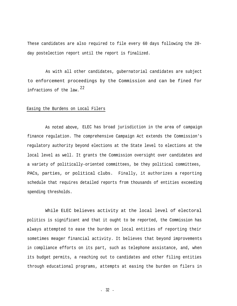These candidates are also required to file every 60 days following the 20 day postelection report until the report is finalized.

As with all other candidates, gubernatorial candidates are subject to enforcement proceedings by the Commission and can be fined for infractions of the law. 22

#### Easing the Burdens on Local Filers

As noted above, ELEC has broad jurisdiction in the area of campaign finance regulation. The comprehensive Campaign Act extends the Commission's regulatory authority beyond elections at the State level to elections at the local level as well. It grants the Commission oversight over candidates and a variety of politically-oriented committees, be they political committees, PACs, parties, or political clubs. Finally, it authorizes a reporting schedule that requires detailed reports from thousands of entities exceeding spending thresholds.

While ELEC believes activity at the local level of electoral politics is significant and that it ought to be reported, the Commission has always attempted to ease the burden on local entities of reporting their sometimes meager financial activity. It believes that beyond improvements in compliance efforts on its part, such as telephone assistance, and, when its budget permits, a reaching out to candidates and other filing entities through educational programs, attempts at easing the burden on filers in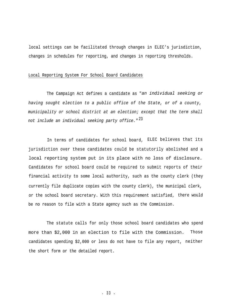local settings can be facilitated through changes in ELEC's jurisdiction, changes in schedules for reporting, and changes in reporting thresholds.

#### Local Reporting System For School Board Candidates

The Campaign Act defines a candidate as "*an individual seeking or having sought election to a public office of the State, or of a county, municipality or school district at an election; except that the term shall* <sup>23</sup> *not include an individual seeking party office."*

In terms of candidates for school board, ELEC believes that its jurisdiction over these candidates could be statutorily abolished and a local reporting system put in its place with no loss of disclosure. Candidates for school board could be required to submit reports of their financial activity to some local authority, such as the county clerk (they currently file duplicate copies with the county clerk), the municipal clerk, or the school board secretary. With this requirement satisfied, there would be no reason to file with a State agency such as the Commission.

The statute calls for only those school board candidates who spend more than \$2,000 in an election to file with the Commission. Those candidates spending \$2,000 or less do not have to file any report, neither the short form or the detailed report.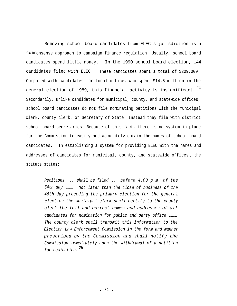Removing school board candidates from ELEC's jurisdiction is a commonsense approach to campaign finance regulation. Usually, school board candidates spend little money. In the 1990 school board election, 144 candidates filed with ELEC. These candidates spent a total of \$209,000. Compared with candidates for local office, who spent \$14.5 million in the general election of 1989, this financial activity is insignificant.  $^{24}$ Secondarily, unlike candidates for municipal, county, and statewide offices, school board candidates do not file nominating petitions with the municipal clerk, county clerk, or Secretary of State. Instead they file with district school board secretaries. Because of this fact, there is no system in place for the Commission to easily and accurately obtain the names of school board candidates. In establishing a system for providing ELEC with the names and addresses of candidates for municipal, county, and statewide offices , the statute states:

> *Petitions* ... *shall be filed* ... *before 4.00 p.m. of the 54th day Not later than the close of business of the 48th day preceding the primary election for the general election the municipal clerk shall certify to the county clerk the full and correct names and addresses of all candidates for nomination for public and party office The county clerk shall transmit this information to the Election Law Enforcement Commission in the form and manner prescribed by the Commission and shall notify the Commission immediately upon the withdrawal of a petition* <sup>25</sup> *for nomination.*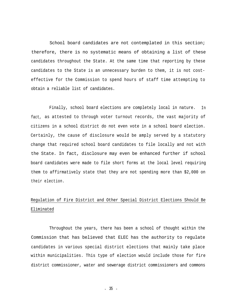School board candidates are not contemplated in this section; therefore, there is no systematic means of obtaining a list of these candidates throughout the State. At the same time that reporting by these candidates to the State is an unnecessary burden to them, it is not costeffective for the Commission to spend hours of staff time attempting to obtain a reliable list of candidates.

Finally, school board elections are completely local in nature. In fact, as attested to through voter turnout records, the vast majority of citizens in a school district do not even vote in a school board election. Certainly, the cause of disclosure would be amply served by a statutory change that required school board candidates to file locally and not with the State. In fact, disclosure may even be enhanced further if school board candidates were made to file short forms at the local level requiring them to affirmatively state that they are not spending more than \$2,000 on their election.

# Regulation of Fire District and Other Special District Elections Should Be Eliminated

Throughout the years, there has been a school of thought within the Commission that has believed that ELEC has the authority to regulate candidates in various special district elections that mainly take place within municipalities. This type of election would include those for fire district commissioner, water and sewerage district commissioners and commons

- 35 -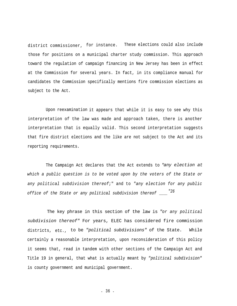district commissioner, for instance. These elections could also include those for positions on a municipal charter study commission. This approach toward the regulation of campaign financing in New Jersey has been in effect at the Commission for several years. In fact, in its compliance manual for candidates the Comm ission specifically mentions fire commission elections as subject to the Act.

Upon reexamination it appears that while it is easy to see why this interpretation of the law was made and approach taken, there is another interpretation that is equally valid. This second interpretation suggests that fire district elections and the like are not subject to the Act and its reporting requirements.

The Campaign Act declares that the Act extends to "*any election at which a public question is to be voted upon by the voters of the State or any political subdivision thereof*;" and to *"any election for any public "26 office of the State or any political subdivision thereof*

The key phrase in this section of the law is "*or any political subdivision thereof"* For years, ELEC has considered fire commission districts, etc., to be *"political subdivisions"* of the State. While certainly a reasonable interpretation, upon reconsideration of this policy it seems that, read in tandem with other sections of the Campaign Act and Title 19 in general, that what is actually meant by *"political subdivision"* is county government and municipal government.

- 36 -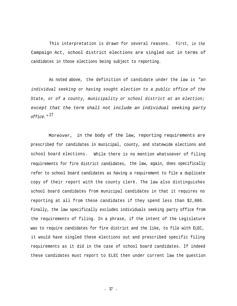This interpretation is drawn for several reasons. First, in the Campaign Act, school district elections are singled out in terms of candidates in those elections being subject to reporting.

As noted above, the definition of candidate under the law is *"an individual seeking or having sought election to a public office of the State, or of a county, municipality or school district at an election; except that the term shall not include an individual seeking party* <sup>27</sup> *office."*

Moreover, in the body of the law, reporting requirements are prescribed for candidates in municipal, county, and statewide elections and school board elections. While there is no mention whatsoever of filing requirements for fire district candidates, the law, again, does specifically refer to school board candidates as having a requirement to file a duplicate copy of their report with the county clerk. The law also distinguishes school board candidates from municipal candidates in that it requires no reporting at all from these candidates if they spend less than \$2,000. Finally, the law specifically excludes individuals seeking party office from the requirements of filing. In a phrase, if the intent of the Legislature was to require candidates for fire district and the like, to file with ELEC, it would have singled these elections out and prescribed specific filing requirements as it did in the case of school board candidates. If indeed these candidates must report to ELEC then under current law the question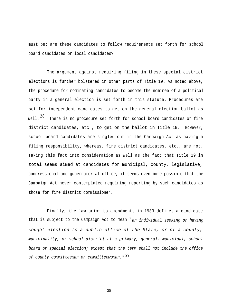must be: are these candidates to follow requirements set forth for school board candidates or local candidates?

The argument against requiring filing in these special district elections is further bolstered in other parts of Title 19. As noted above, the procedure for nominating candidates to become the nominee of a political party in a general election is set forth in this statute. Procedures are set for independent candidates to get on the general election ballot as well.  $28$  There is no procedure set forth for school board candidates or fire district candidates, etc , to get on the ballot in Title 19. However, school board candidates are singled out in the Campaign Act as having a filing responsibility, whereas, fire district candidates, etc., are not. Taking this fact into consideration as well as the fact that Title 19 in total seems aimed at candidates for municipal, county, legislative, congressional and gubernatorial office, it seems even more possible that the Campaign Act never contemplated requiring reporting by such candidates as those for fire district commissioner.

Finally, the law prior to amendments in 1983 defines a candidate that is subject to the Campaign Act to mean "*an individual seeking or having sought election to a public office of the State, or of a county, municipality, or school district at a primary, general, municipal, school board or special election; except that the term shall not include the office* <sup>29</sup> *of county committeeman or committeewoman."*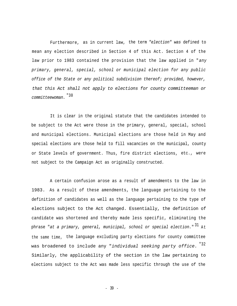Furthermore, as in current law, the term *"election" was* defined to mean any election described in Section 4 of this Act. Section 4 of the law prior to 1983 contained the provision that the law applied in "*any primary, general, special, school or municipal election for any public office of the State or any political subdivision thereof; provided, however, that this Act shall not apply to elections for county committeeman or* "30 *committeewoman.*

It is clear in the original statute that the candidates intended to be subject to the Act were those in the primary, general, special, school and municipal elections. Municipal elections are those held in May and special elections are those held to fill vacancies on the municipal, county or State levels of government. Thus, fire district elections, etc., were not subject to the Campaign Act as originally constructed.

A certain confusion arose as a result of amendments to the law in 1983. As a result of these amendments, the language pertaining to the definition of candidates as well as the language pertaining to the type of elections subject to the Act changed. Essentially, the definition of candidate was shortened and thereby made less specific, eliminating the phrase "at a primary, general, municipal, school or special election." <sup>31</sup> At the same time, the language excluding party elections for county committee was broadened to include any "*individual seeking party office.*<sup>"32</sup> Similarly, the applicability of the section in the law pertaining to elections subject to the Act was made less specific through the use of the

- 39 -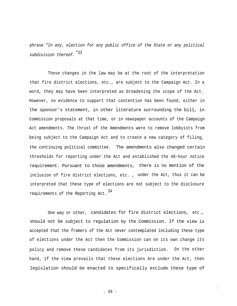phrase "*In any, election for any public office of the State or any political* "33 *subdivision thereof.*

These changes in the law may be at the root of the interpretation that fire district elections, etc., are subject to the Campaign Act. In a word, they may have been interpreted as broadening the scope of the Act. However, no evidence to support that contention has been found, either in the sponsor's statement, in other literature surrounding the bill, in Commission proposals at that time, or in newspaper accounts of the Campaign Act amendments. The thrust of the Amendments were to remove lobbyists from being subject to the Campaign Act and to create a new category of filing, the continuing political committee. The amendments also changed certain thresholds for reporting under the Act and established the 48-hour notice requirement. Pursuant to those amendments, there is no mention of the inclusion of fire district elections, etc. , under the Act, thus it can be interpreted that these type of elections are not subject to the disclosure <sup>34</sup> requirements of the Reporting Act.

One way or other, candidates for fire district elections, etc., should not be subject to regulation by the Commission. If the view is accepted that the framers of the Act never contemplated including these type of elections under the Act then the Commission can on its own change its policy and remove these candidates from its jurisdiction. On the other hand, if the view prevails that these elections Are under the Act, then legislation should be enacted to specifically exclude these type of

- 40 -

I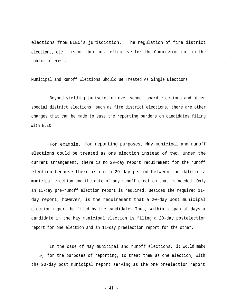elections from ELEC's jurisdiction. The regulation of fire district elections, etc., is neither cost-effective for the Commission nor in the public interest.

-

#### Municipal and Runoff Elections Should Be Treated As Single Elections

Beyond yielding jurisdiction over school board elections and other special district elections, such as fire district elections, there are other changes that can be made to ease the reporting burdens on candidates filing with ELEC.

For example, for reporting purposes, May municipal and runoff elections could be treated as one election instead of two. Under the current arrangement, there is no 29-day report requirement for the runoff election because there is not a 29-day period between the date of a municipal election and the date of any runoff election that is needed. Only an 11-day pre-runoff election report is required. Besides the required 11 day report, however, is the requirement that a 20-day post municipal election report be filed by the candidate. Thus, within a span of days a candidate in the May municipal election is filing a 20-day postelection report for one election and an 11-day preelection report for the other.

In the case of May municipal and runoff elections, it would make sense, for the purposes of reporting, to treat them as one election, with the 20-day post municipal report serving as the one preelection report

- 41 -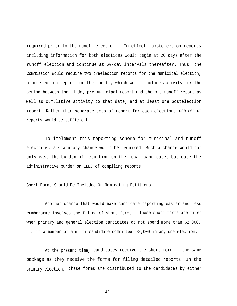required prior to the runoff election. In effect, postelection reports including information for both elections would begin at 20 days after the runoff election and continue at 60-day intervals thereafter. Thus, the Commission would require two preelection reports for the municipal election, a preelection report for the runoff, which would include activity for the period between the 11-day pre-municipal report and the pre-runoff report as well as cumulative activity to that date, and at least one postelection report. Rather than separate sets of report for each election, one set of reports would be sufficient.

To implement this reporting scheme for municipal and runoff elections, a statutory change would be required. Such a change would not only ease the burden of reporting on the local candidates but ease the administrative burden on ELEC of compiling reports.

# Short Forms Should Be Included On Nominating Petitions

Another change that would make candidate reporting easier and less cumbersome involves the filing of short forms. These short forms are filed when primary and general election candidates do not spend more than \$2,000, or, if a member of a multi-candidate committee, \$4,000 in any one election.

At the present time, candidates receive the short form in the same package as they receive the forms for filing detailed reports. In the primary election, these forms are distributed to the candidates by either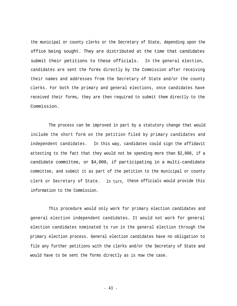the municipal or county clerks or the Secretary of State, depending upon the office being sought. They are distributed at the time that candidates submit their petitions to these officials. In the general election, candidates are sent the forms directly by the Commission after receiving their names and addresses from the Secretary of State and/or the county clerks. For both the primary and general elections, once candidates have received their forms, they are then required to submit them directly to the Commission.

The process can be improved in part by a statutory change that would include the short form on the petition filed by primary candidates and independent candidates. In this way, candidates could sign the affidavit attesting to the fact that they would not be spending more than \$2,000, if a candidate committee, or \$4,000, if participating in a multi-candidate committee, and submit it as part of the petition to the municipal or county clerk or Secretary of State. In turn, these officials would provide this information to the Commission.

This procedure would only work for primary election candidates and general election independent candidates. It would not work for general election candidates nominated to run in the general election through the primary election process. General election candidates have no obligation to file any further petitions with the clerks and/or the Secretary of State and would have to be sent the forms directly as is now the case.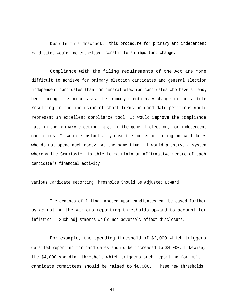Despite this drawback, this procedure for primary and independent candidates would, nevertheless, constitute an important change.

Compliance with the filing requirements of the Act are more difficult to achieve for primary election candidates and general election independent candidates than for general election candidates who have already been through the process via the primary election. A change in the statute resulting in the inclusion of short forms on candidate petitions would represent an excellent compliance tool. It would improve the compliance rate in the primary election, and, in the general election, for independent candidates. It would substantially ease the burden of filing on candidates who do not spend much money. At the same time, it would preserve a system whereby the Commission is able to maintain an affirmative record of each candidate's financial activity.

## Various Candidate Reporting Thresholds Should Be Adjusted Upward

The demands of filing imposed upon candidates can be eased further by adjusting the various reporting thresholds upward to account for inflation. Such adjustments would not adversely affect disclosure.

For example, the spending threshold of \$2,000 which triggers detailed reporting for candidates should be increased to \$4,000. Likewise, the \$4,000 spending threshold which triggers such reporting for multicandidate committees should be raised to \$8,000. These new thresholds,

- 44 -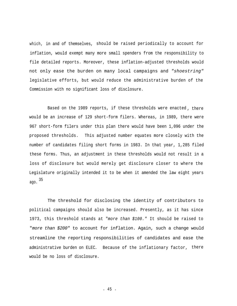which, in and of themselves, should be raised periodically to account for inflation, would exempt many more small spenders from the responsibility to file detailed reports. Moreover, these inflation-adjusted thresholds would not only ease the burden on many local campaigns and *"shoestring"* legislative efforts, but would reduce the administrative burden of the Commission with no significant loss of disclosure.

Based on the 1989 reports, if these thresholds were enacted , there would be an increase of 129 short-form filers. Whereas, in 1989, there were 967 short-form filers under this plan there would have been 1,096 under the proposed thresholds. This adjusted number equates more closely with the number of candidates filing short forms in 1983. In that year, 1,285 filed these forms. Thus, an adjustment in these thresholds would not result in a loss of disclosure but would merely get disclosure closer to where the Legislature originally intended it to be when it amended the law eight years ago. <sup>35</sup>

The threshold for disclosing the identity of contributors to political campaigns should also be increased. Presently, as it has since 1973, this threshold stands at "*more than \$100."* It should be raised to "*more than \$200"* to account for inflation. Again, such a change would streamline the reporting responsibilities of candidates and ease the administrative burden on ELEC. Because of the inflationary factor, there would be no loss of disclosure.

- 45 -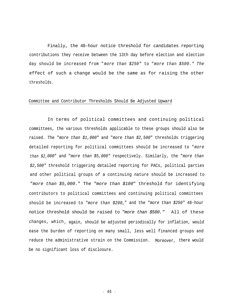Finally, the 48-hour notice threshold for candidates reporting contributions they receive between the 13th day before election and election day should be increased from "*more than \$250"* to "*more than \$500." The* effect of such a change would be the same as for raising the other thresholds.

#### Committee and Contributor Thresholds Should Be Adjusted Upward

In terms of political committees and continuing political committees, the various thresholds applicable to these groups should also be raised. The "*more than \$1,000*" and "*more than \$2,500*" thresholds triggering detailed reporting for political committees should be increased to "*more than \$2,000*" and "*more than \$5,000"* respectively. Similarly, the "*more than \$2,500"* threshold triggering detailed reporting for PACs, political parties and other political groups of a continuing nature should be increased to "*more than \$5,000.*" The "*more than \$100*" threshold for identifying contributors to political committees and continuing political committees should be increased to "*more than \$200,*" and the "*more than \$250"* 48-hour notice threshold should be raised to "*more than \$500."* All of these changes, which , again, should be adjusted periodically for inflation, would ease the burden of reporting on many small, less well financed groups and reduce the administrative strain on the Commission. Moreover, there would be no significant loss of disclosure.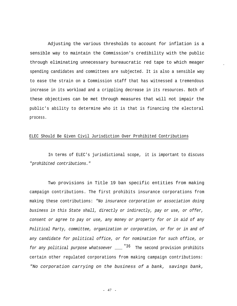Adjusting the various thresholds to account for inflation is a sensible way to maintain the Commission's credibility with the public through eliminating unnecessary bureaucratic red tape to which meager spending candidates and committees are subjected. It is also a sensible way to ease the strain on a Commission staff that has witnessed a tremendous increase in its workload and a crippling decrease in its resources. Both of these objectives can be met through measures that will not impair the public's ability to determine who it is that is financing the electoral process.

-

# ELEC Should Be Given Civil Jurisdiction Over Prohibited Contributions

In terms of ELEC's jurisdictional scope, it is important to discuss "*prohibited contributions."*

Two provisions in Title 19 ban specific entities from making campaign contributions. The first prohibits insurance corporations from making these contributions: *"No insurance corporation or association doing business in this State shall, directly or indirectly, pay or use, or offer, consent or agree to pay or use, any money or property for or in aid of any Political Party, committee, organization or corporation, or for or in and of any candidate for political office, or for nomination for such office, or* for any political purpose whatsoever \_\_\_\_<sup>"36</sup> The second provision prohibits certain other regulated corporations from making campaign contributions: *"No corporation carrying on the business of a bank, savings bank,*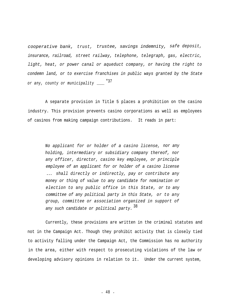*cooperative bank, trust, trustee, savings indemnity, safe deposit, insurance, railroad, street railway, telephone, telegraph, gas, electric, light, heat, or power canal or aqueduct company, or having the right to condemn land, or to exercise franchises in public ways granted by the State* or any, county or municipality \_\_\_\_\_ "37

A separate provision in Title 5 places a prohibition on the casino industry. This provision prevents casino corporations as well as employees of casinos from making campaign contributions. It reads in part:

> *No applicant for or holder of a casino license, nor any holding, intermediary or subsidiary company thereof, nor any officer, director, casino key employee, or principle employee of an applicant for or holder of a casino license* ... *shall directly or indirectly, pay or contribute any money or thing of value to any candidate for nomination or election to* any *public office* in *this State, or to any committee of any political party in this State, or to any group, committee or association organized in support of* <sup>38</sup> *any such candidate or political party.*

Currently, these provisions are written in the criminal statutes and not in the Campaign Act. Though they prohibit activity that is closely tied to activity falling under the Campaign Act, the Commission has no authority in the area, either with respect to prosecuting violations of the law or developing advisory opinions in relation to it. Under the current system,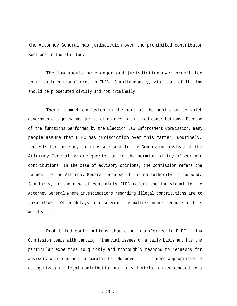the Attorney General has jurisdiction over the prohibited contributor sections in the statutes.

The law should be changed and jurisdiction over prohibited contributions transferred to ELEC. Simultaneously, violators of the law should be prosecuted civilly and not criminally.

There is much confusion on the part of the public as to which governmental agency has jurisdiction over prohibited contributions. Because of the functions performed by the Election Law Enforcement Commission, many people assume that ELEC has jurisdiction over this matter. Routinely, requests for advisory opinions are sent to the Commission instead of the Attorney General as are queries as to the permissibility of certain contributions. In the case of advisory opinions, the Commission refers the request to the Attorney General because it has no authority to respond. Similarly, in the case of complaints ELEC refers the individual to the Attorney General where investigations regarding illegal contributions are to take place added step. Often delays in resolving the matters occur because of this

Prohibited contributions should be transferred to ELEC. The Commission deals with campaign financial issues on a daily basis and has the particular expertise to quickly and thoroughly respond to requests for advisory opinions and to complaints. Moreover, it is more appropriate to categorize an illegal contribution as a civil violation as opposed to a

- 49 -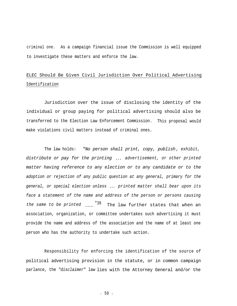criminal one. As a campaign financial issue the Commission is well equipped to investigate these matters and enforce the law.

# ELEC Should Be Given Civil Jurisdiction Over Political Advertising Identification

Jurisdiction over the issue of disclosing the identity of the individual or group paying for political advertising should also be transferred to the Election Law Enforcement Commission. This proposal would make violations civil matters instead of criminal ones.

The law holds: *"No person shall print, copy, publish , exhibit, distribute or pay for the printing* ... *advertisement, or other printed matter having reference to any election or to any candidate or to the adoption or rejection of any public question at any general, primary for the general, or special election unless* ... *printed matter shall bear upon its face a statement of the name and address of the person or persons causing* the same to be printed \_\_\_\_<sup>"39</sup> The law further states that when an association, organization, or committee undertakes such advertising it must provide the name and address of the association and the name of at least one person who has the authority to undertake such action.

Responsibility for enforcing the identification of the source of political advertising provision in the statute, or in common campaign parlance, the *"disclaimer*" law lies with the Attorney General and/or the

- 50 -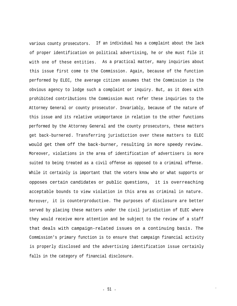various county prosecutors. If an individual has a complaint about the lack of proper identification on political advertising, he or she must file it with one of these entities. As a practical matter, many inquiries about this issue first come to the Commission. Again, because of the function performed by ELEC, the average citizen assumes that the Commission is the obvious agency to lodge such a complaint or inquiry. But, as it does with prohibited contributions the Commission must refer these inquiries to the Attorney General or county prosecutor. Invariably, because of the nature of this issue and its relative unimportance in relation to the other functions performed by the Attorney General and the county prosecutors, these matters get back-burnered. Transferring jurisdiction over these matters to ELEC would get them off the back-burner, resulting in more speedy review. Moreover, violations in the area of identification of advertisers is more suited to being treated as a civil offense as opposed to a criminal offense. While it certainly is important that the voters know who or what supports or opposes certain candidates or public questions, it is overreaching acceptable bounds to view violation in this area as criminal in nature. Moreover, it is counterproductive. The purposes of disclosure are better served by placing these matters under the civil jurisdiction of ELEC where they would receive more attention and be subject to the review of a staff that deals with campaign-related issues on a continuing basis. The Commission's primary function is to ensure that campaign financial activity is properly disclosed and the advertising identification issue certainly falls in the category of financial disclosure.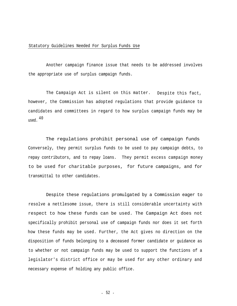#### Statutory Guidelines Needed For Surplus Funds Use

Another campaign finance issue that needs to be addressed involves the appropriate use of surplus campaign funds.

The Campaign Act is silent on this matter. Despite this fact, however, the Commission has adopted regulations that provide guidance to candidates and committees in regard to how surplus campaign funds may be <sup>40</sup> used.

The regulations prohibit personal use of campaign funds Conversely, they permit surplus funds to be used to pay campaign debts, to repay contributors, and to repay loans. They permit excess campaign money to be used for charitable purposes, for future campaigns, and for transmittal to other candidates.

Despite these regulations promulgated by a Commission eager to resolve a nettlesome issue, there is still considerable uncertainty with respect to how these funds can be used. The Campaign Act does not specifically prohibit personal use of campaign funds nor does it set forth how these funds may be used. Further, the Act gives no direction on the disposition of funds belonging to a deceased former candidate or guidance as to whether or not campaign funds may be used to support the functions of a legislator's district office or may be used for any other ordinary and necessary expense of holding any public office.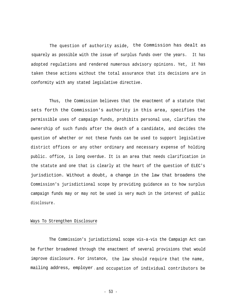The question of authority aside, the Commission has dealt as squarely as possible with the issue of surplus funds over the years. It has adopted regulations and rendered numerous advisory opinions. Yet, it has taken these actions without the total assurance that its decisions are in conformity with any stated legislative directive.

Thus, the Commission believes that the enactment of a statute that sets forth the Commission's authority in this area, specifies the permissible uses of campaign funds, prohibits personal use, clarifies the ownership of such funds after the death of a candidate, and decides the question of whether or not these funds can be used to support legislative district offices or any other ordinary and necessary expense of holding public. office, is long overdue. It is an area that needs clarification in the statute and one that is clearly at the heart of the question of ELEC's jurisdiction. Without a doubt, a change in the law that broadens the Commission's jurisdictional scope by providing guidance as to how surplus campaign funds may or may not be used is very much in the interest of public disclosure.

## Ways To Strengthen Disclosure

The Commission's jurisdictional scope vis-a-vis the Campaign Act can be further broadened through the enactment of several provisions that would improve disclosure. For instance, the law should require that the name, mailing address, employer and occupation of individual contributors be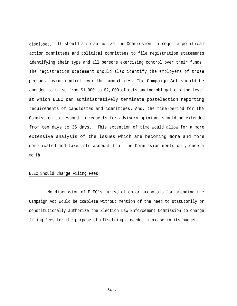disclosed. It should also authorize the Commission to require political action committees and political committees to file registration statements identifying their type and all persons exercising control over their funds The registration statement should also identify the employers of those persons having control over the comm ittees. The Campaign Act should be amended to raise from \$1,000 to \$2, 000 of outstanding obligations the level at which ELEC can administratively terminate postelection reporting requirements of candidates and committees. And, the time-period for the Commission to respond to requests for advisory opinions should be extended from ten days to 35 days. This extention of time would allow for a more extensive analysis of the issues which are becoming more and more complicated and take into account that the Commission meets only once a month.

#### ELEC Should Charge Filing Fees

No discussion of ELEC's jurisdiction or proposals for amending the Campaign Act would be complete without mention of the need to statutorily or constitutionally authorize the Election Law Enforcement Commission to charge filing fees for the purpose of offsetting a needed increase in its budget.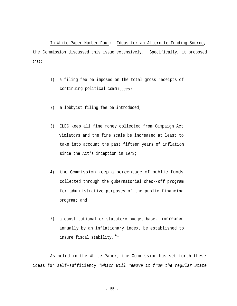In White Paper Number Four: Ideas for an Alternate Funding Source, the Commission discussed this issue extensively. Specifically, it proposed that:

- 1) a filing fee be imposed on the total gross receipts of continuing political committees;
- 2) a lobbyist filing fee be introduced;
- 3) ELEC keep all fine money collected from Campaign Act violators and the fine scale be increased at least to take into account the past fifteen years of inflation since the Act's inception in 1973;
- 4) the Commission keep a percentage of public funds collected through the gubernatorial check-off program for administrative purposes of the public financing program; and
- 5) a constitutional or statutory budget base, increased annually by an inflationary index, be established to insure fiscal stability.  $41$

As noted in the White Paper, the Commission has set forth these ideas for self-sufficiency *"which will remove it from the regular State*

- 55 -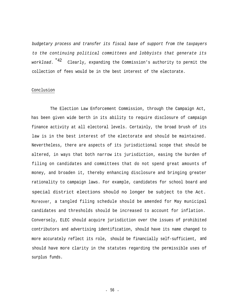*budgetary process and transfer its fiscal base of support from the taxpayers to the continuing political committees and lobbyists that generate its* workload. <sup>"42</sup> Clearly, expanding the Commission's authority to permit the collection of fees would be in the best interest of the electorate.

#### Conclusion

The Election Law Enforcement Commission, through the Campaign Act, has been given wide berth in its ability to require disclosure of campaign finance activity at all electoral levels. Certainly, the broad brush of its law is in the best interest of the electorate and should be maintained. Nevertheless, there are aspects of its jurisdictional scope that should be altered, in ways that both narrow its jurisdiction, easing the burden of filing on candidates and committees that do not spend great amounts of money, and broaden it, thereby enhancing disclosure and bringing greater rationality to campaign laws. For example, candidates for school board and special district elections should no longer be subject to the Act. Moreover, a tangled filing schedule should be amended for May municipal candidates and thresholds should be increased to account for inflation. Conversely, ELEC should acquire jurisdiction over the issues of prohibited contributors and advertising identification, should have its name changed to more accurately reflect its role, should be financially self-sufficient, and should have more clarity in the statutes regarding the permissible uses of surplus funds.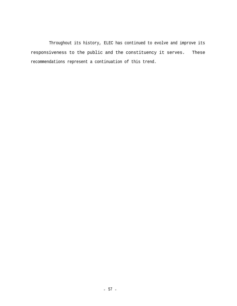Throughout its history, ELEC has continued to evolve and improve its responsiveness to the public and the constituency it serves. These recommendations represent a continuation of this trend.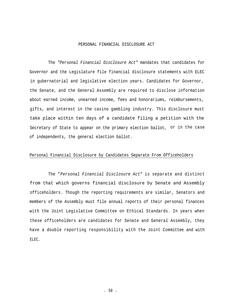#### PERSONAL FINANCIAL DISCLOSURE ACT

The *"Personal Financial Disclosure Act"* mandates that candidates for Governor and the Legislature file financial disclosure statements with ELEC in gubernatorial and legislative election years. Candidates for Governor, the Senate, and the General Assembly are required to disclose information about earned income, unearned income, fees and honorariums, reimbursements, gifts, and interest in the casino gambling industry. This disclosure must take place within ten days of a candidate filing a petition with the Secretary of State to appear on the primary election ballot, or in the case of independents, the general election ballot.

# Personal Financial Disclosure by Candidates Separate From Officeholders

The "*Personal Financial Disclosure Act*" is separate and distinct from that which governs financial disclosure by Senate and Assembly officeholders. Though the reporting requirements are similar, Senators and members of the Assembly must file annual reports of their personal finances with the Joint Legislative Committee on Ethical Standards. In years when these officeholders are candidates for Senate and General Assembly, they have a double reporting responsibility with the Joint Committee and with ELEC.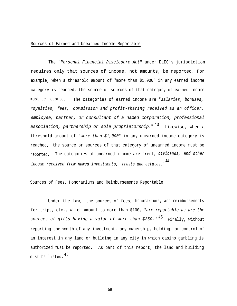#### Sources of Earned and Unearned Income Reportable

The "*Personal Financial Disclosure Act*" under ELEC's jurisdiction requires only that sources of income, not amounts, be reported. For example, when a threshold amount of "more than \$1,000" in any earned income category is reached, the source or sources of that category of earned income must be reported. The categories of earned income are "*salaries, bonuses, royalties, fees, commission and profit-sharing received as an officer, employee, partner, or consultant of a named corporation, professional* <sup>43</sup> *association, partnership or sole proprietorship.*" Likewise, when a threshold amount of "*more than \$1,000*" in any unearned income category is reached, the source or sources of that category of unearned income must be reported. The categories of unearned income are "rent*, dividends, and other* <sup>44</sup> *income received from named investments, trusts and estates.*"

#### Sources of Fees, Honorariums and Reimbursements Reportable

Under the law, the sources of fees, honorariums, and reimbursements for trips, etc., which amount to more than \$100, "*are reportable as are the* <sup>45</sup> *sources of gifts having a value of more than \$250.* " Finally, without reporting the worth of any investment, any ownership, holding, or control of an interest in any land or building in any city in which casino gambling is authorized must be reported. As part of this report, the land and building must be listed. 46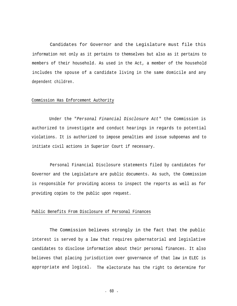Candidates for Governor and the Legislature must file this information not only as it pertains to themselves but also as it pertains to members of their household. As used in the Act, a member of the household includes the spouse of a candidate living in the same domicile and any dependent children.

# Commission Has Enforcement Authority

Under the "*Personal Financial Disclosure Act*" the Commission is authorized to investigate and conduct hearings in regards to potential violations. It is authorized to impose penalties and issue subpoenas and to initiate civil actions in Superior Court if necessary.

Personal Financial Disclosure statements filed by candidates for Governor and the Legislature are public documents. As such, the Commission is responsible for providing access to inspect the reports as well as for providing copies to the public upon request.

#### Public Benefits From Disclosure of Personal Finances

The Commission believes strongly in the fact that the public interest is served by a law that requires gubernatorial and legislative candidates to disclose information about their personal finances. It also believes that placing jurisdiction over governance of that law in ELEC is appropriate and logical. The electorate has the right to determine for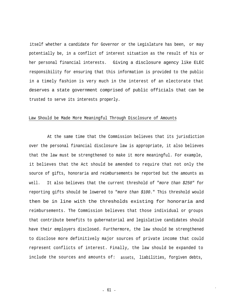itself whether a candidate for Governor or the Legislature has been, or may potentially be, in a conflict of interest situation as the result of his or her personal financial interests. Giving a disclosure agency like ELEC responsibility for ensuring that this information is provided to the public in a timely fashion is very much in the interest of an electorate that deserves a state government comprised of public officials that can be trusted to serve its interests properly.

#### Law Should be Made More Meaningful Through Disclosure of Amounts

At the same time that the Commission believes that its jurisdiction over the personal financial disclosure law is appropriate, it also believes that the law must be strengthened to make it more meaningful. For example, it believes that the Act should be amended to require that not only the source of gifts, honoraria and reimbursements be reported but the amounts as well. It also believes that the current threshold of "*more than \$250"* for reporting gifts should be lowered to "*more than \$100.*" This threshold would then be in line with the thresholds existing for honoraria and reimbursements. The Commission believes that those individual or groups that contribute benefits to gubernatorial and legislative candidates should have their employers disclosed. Furthermore, the law should be strengthened to disclose more definitively major sources of private income that could represent conflicts of interest. Finally, the law should be expanded to include the sources and amounts of: assets, liabilities, forgiven debts,

I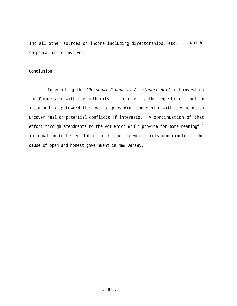and all other sources of income including directorships, etc., in which compensation is involved.

#### Conclusion

In enacting the "*Personal Financial Disclosure Act*" and investing the Commission with the authority to enforce it, the Legislature took an important step toward the goal of providing the public with the means to uncover real or potential conflicts of interests. A continuation of that effort through amendments to the Act which would provide for more meaningful information to be available to the public would truly contribute to the cause of open and honest government in New Jersey.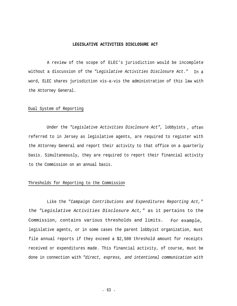#### **LEGISLATIVE ACTIVITIES DISCLOSURE ACT**

A review of the scope of ELEC's jurisdiction would be incomplete without a discussion of the *"Legislative Activities Disclosure Act."* In a word, ELEC shares jurisdiction vis-a-vis the administration of this law with the Attorney General.

#### Dual System of Reporting

Under the *"Legislative Activities Disclosure Act",* lobbyists , often referred to in Jersey as legislative agents, are required to register with the Attorney General and report their activity to that office on a quarterly basis. Simultaneously, they are required to report their financial activity to the Commission on an annual basis.

# Thresholds for Reporting to the Commission

Like the "*Campaign Contributions and Expenditures Reporting Act,"* the *"Legislative Activities Disclosure Act,"* as it pertains to the Commission, contains various thresholds and limits. For example, legislative agents, or in some cases the parent lobbyist organization, must file annual reports if they exceed a \$2,500 threshold amount for receipts received or expenditures made. This financial activity, of course, must be done in connection with *"direct, express, and intentional communication with*

- 63 -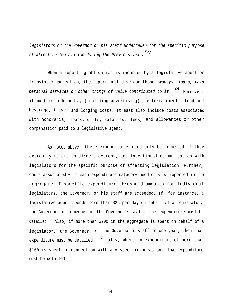*legislators or the Governor or his staff undertaken for the specific purpose "47 of affecting legislation during the Previous year.*

When a reporting obligation is incurred by a legislative agent or lobbyist organization, the report must disclose those *"moneys, loans, paid "48 personal services or other things of value contributed to it.* Moreover, it must include media, (including advertising) , entertainment, food and beverage, travel <sup>I</sup>and lodging costs. It must also include costs associated with honoraria, loans, gifts, salaries, fees, and allowances or other compensation paid to a legislative agent.

As noted above, these expenditures need only be reported if they expressly relate to direct, express, and intentional communication with legislators for the specific purpose of affecting legislation. Further, costs associated with each expenditure category need only be reported in the aggregate if specific expenditure threshold amounts for individual legislators, the Governor, or his staff are exceeded. If, for instance, a legislative agent spends more than \$25 per day on behalf of a legislator, the Governor, or a member of the Governor's staff, this expenditure must be detailed. Also, if more than \$200 in the aggregate is spent on behalf of a legislator, the Governor, or the Governor's staff in one year, then that expenditure must be detailed. Finally, where an expenditure of more than \$100 is spent in connection with any specific occasion, that expenditure must be detailed.

- 64 -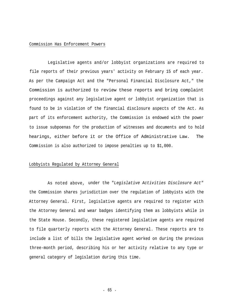#### Commission Has Enforcement Powers

Legislative agents and/or lobbyist organizations are required to file reports of their previous years' activity on February 15 of each year. As per the Campaign Act and the "Personal Financial Disclosure Act," the Commission is authorized to review these reports and bring complaint proceedings against any legislative agent or lobbyist organization that is found to be in violation of the financial disclosure aspects of the Act. As part of its enforcement authority, the Commission is endowed with the power to issue subpoenas for the production of witnesses and documents and to hold hearings, either before it or the Office of Administrative Law. The Commission is also authorized to impose penalties up to \$1,000.

#### Lobbyists Regulated by Attorney General

As noted above, under the "*Legislative Activities Disclosure Act"* the Commission shares jurisdiction over the regulation of lobbyists with the Attorney General. First, legislative agents are required to register with the Attorney General and wear badges identifying them as lobbyists while in the State House. Secondly, these registered legislative agents are required to file quarterly reports with the Attorney General. These reports are to include a list of bills the legislative agent worked on during the previous three-month period, describing his or her activity relative to any type or general category of legislation during this time.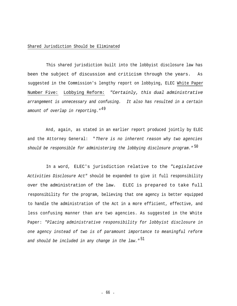#### Shared Jurisdiction Should be Eliminated

This shared jurisdiction built into the lobbyist disclosure law has been the subject of discussion and criticism through the years. As suggested in the Commission's lengthy report on lobbying, ELEC White Paper Number Five: Lobbying Reform: *"Certainly, this dual administrative arrangement is unnecessary and confusing. It also has resulted in a certain* <sup>49</sup> *amount of overlap in reporting."*

And, again, as stated in an earlier report produced jointly by ELEC and the Attorney General: "*There is no inherent reason why two agencies* <sup>50</sup> *should be responsible for administering the lobbying disclosure program."*

In a word, ELEC's jurisdiction relative to the *"Legislative Activities Disclosure Act"* should be expanded to give it full responsibility over the administration of the law. ELEC is prepared to take full responsibility for the program, believing that one agency is better equipped to handle the administration of the Act in a more efficient, effective, and less confusing manner than are two agencies. As suggested in the White Paper: *"Placing administrative responsibility for lobbyist disclosure in one agency instead of two is of paramount importance to meaningful reform* <sup>51</sup> *and should be included in any change in the law."*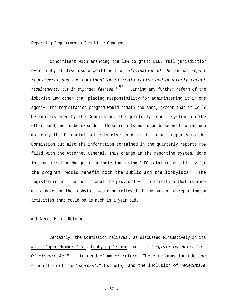#### Reporting Requirements Should be Changed

Concomitant with amending the law to grant ELEC full jurisdiction over lobbyist disclosure would be the *"elimination of the* annual *report requirement and the continuation of registration and quarterly report* <sup>52</sup> *requirements, but in expanded fashion.*" Barring any further reform of the lobbyist law other than placing responsibility for administering it in one agency, the registration program would remain the same, except that it would be administered by the Commission. The quarterly report system, on the other hand, would be expanded. These reports would be broadened to include not only the financial activity disclosed in the annual reports to the Commission but also the information contained in the quarterly reports now filed with the Attorney General. This change in the reporting system, done in tandem with a change in jurisdiction giving ELEC total responsibility for the program, would benefit both the public and the lobbyists. The Legislature and the public would be provided with information that is more up-to-date and the lobbyists would be relieved of the burden of reporting on activities that could be as much as a year old.

#### Act Needs Major Reform

Certainly, the Commission believes , as discussed exhaustively in its White Paper Number Five: Lobbying Reform that the *"Legislative Activities Disclosure Act"* is in need of major reform. These reforms include the elimination of the *"expressly"* loophole, and the inclusion of *"executive*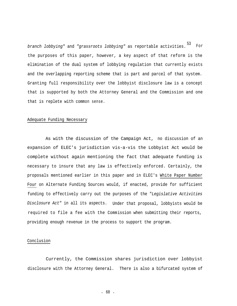<sup>53</sup> *branch lobbying"* and *"grassroots lobbying"* as reportable activities. For the purposes of this paper, however, a key aspect of that reform is the elimination of the dual system of lobbying regulation that currently exists and the overlapping reporting scheme that is part and parcel of that system. Granting full responsibility over the lobbyist disclosure law is a concept that is supported by both the Attorney General and the Commission and one that is replete with common sense.

## Adequate Funding Necessary

As with the discussion of the Campaign Act, no discussion of an expansion of ELEC's jurisdiction vis-a-vis the Lobbyist Act would be complete without again mentioning the fact that adequate funding is necessary to insure that any law is effectively enforced. Certainly, the proposals mentioned earlier in this paper and in ELEC's White Paper Number Four on Alternate Funding Sources would, if enacted, provide for sufficient funding to effectively carry out the purposes of the "*Legislative Activities Disclosure Act"* in all its aspects. Under that proposal, lobbyists would be required to file a fee with the Commission when submitting their reports, providing enough revenue in the process to support the program.

## Conclusion

Currently, the Commission shares jurisdiction over lobbyist disclosure with the Attorney General. There is also a bifurcated system of

- 68 -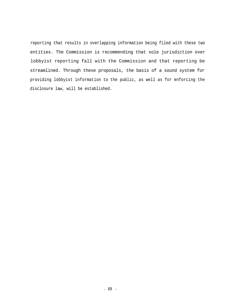reporting that results in overlapping information being filed with these two entities. The Commission is recommending that sole jurisdiction over lobbyist reporting fall with the Commission and that reporting be streamlined. Through these proposals, the basis of a sound system for providing lobbyist information to the public, as well as for enforcing the disclosure law, will be established.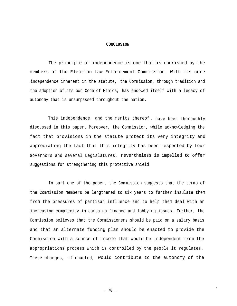## **CONCLUSION**

The principle of independence is one that is cherished by the members of the Election Law Enforcement Commission. With its core independence inherent in the statute, the Commission, through tradition and the adoption of its own Code of Ethics, has endowed itself with a legacy of autonomy that is unsurpassed throughout the nation.

This independence, and the merits thereof , have been thoroughly discussed in this paper. Moreover, the Commission, while acknowledging the fact that provisions in the statute protect its very integrity and appreciating the fact that this integrity has been respected by four Governors and several Legislatures, nevertheless is impelled to offer suggestions for strengthening this protective shield.

In part one of the paper, the Commission suggests that the terms of the Commission members be lengthened to six years to further insulate them from the pressures of partisan influence and to help them deal with an increasing complexity in campaign finance and lobbying issues. Further, the Commission believes that the Commissioners should be paid on a salary basis and that an alternate funding plan should be enacted to provide the Commission with a source of income that would be independent from the appropriations process which is controlled by the people it regulates. These changes, if enacted, would contribute to the autonomy of the

- 70 -

I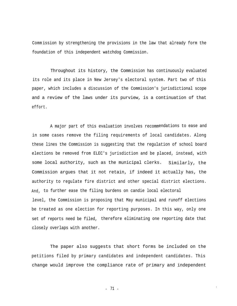Comm ission by strengthening the provisions in the law that already form the foundation of this independent watchdog Commission.

Throughout its history, the Commission has continuously evaluated its role and its place in New Jersey's electoral system. Part two of this paper, which includes a discussion of the Commission's jurisdictional scope and a review of the laws under its purview, is a continuation of that effort.

A major part of this evaluation involves recommendations to ease and in some cases remove the filing requirements of local candidates. Along these lines the Commission is suggesting that the regulation of school board elections be removed from ELEC's jurisdiction and be placed, instead, with some local authority, such as the municipal clerks. Similarly, the Commission argues that it not retain, if indeed it actually has, the authority to regulate fire district and other special district elections. And, to further ease the filing burdens on candie local electoral level, the Commission is proposing that May municipal and runoff elections be treated as one election for reporting purposes. In this way, only one set of reports need be filed, therefore eliminating one reporting date that closely overlaps with another.

The paper also suggests that short forms be included on the petitions filed by primary candidates and independent candidates. This change would improve the compliance rate of primary and independent

> $71 -71 -$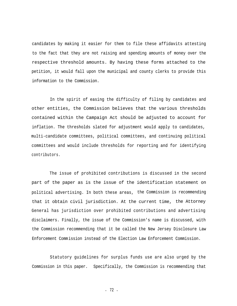candidates by making it easier for them to file these affidavits attesting to the fact that they are not raising and spending amounts of money over the respective threshold amounts. By having these forms attached to the petition, it would fall upon the municipal and county clerks to provide this information to the Commission.

In the spirit of easing the difficulty of filing by candidates and other entities, the Commission believes that the various thresholds contained within the Campaign Act should be adjusted to account for inflation. The thresholds slated for adjustment would apply to candidates, multi-candidate committees, political committees, and continuing political committees and would include thresholds for reporting and for identifying contributors.

The issue of prohibited contributions is discussed in the second part of the paper as is the issue of the identification statement on political advertising. In both these areas, the Commission is recommending that it obtain civil jurisdiction. At the current time, the Attorney General has jurisdiction over prohibited contributions and advertising disclaimers. Finally, the issue of the Commission's name is discussed, with the Commission recommending that it be called the New Jersey Disclosure Law Enforcement Commission instead of the Election Law Enforcement Commission.

Statutory guidelines for surplus funds use are also urged by the Commission in this paper. Specifically, the Commission is recommending that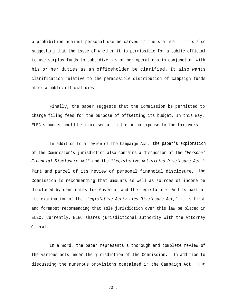a prohibition against personal use be carved in the statute. It is also suggesting that the issue of whether it is permissible for a public official to use surplus funds to subsidize his or her operations in conjunction with his or her duties as an officeholder be clarified. It also wants clarification relative to the permissible distribution of campaign funds after a public official dies.

Finally, the paper suggests that the Commission be permitted to charge filing fees for the purpose of offsetting its budget. In this way, ELEC's budget could be increased at little or no expense to the taxpayers.

In addition to a review of the Campaign Act, the paper's exploration of the Commission's jurisdiction also contains a discussion of the "*Personal Financial Disclosure Act*" and the "*Legislative Activities Disclosure Act.*" Part and parcel of its review of personal financial disclosure, the Commission is recommending that amounts as well as sources of income be disclosed by candidates for Governor and the Legislature. And as part of its examination of the *"Legislative Activities Disclosure Act,"* it is first and foremost recommending that sole jurisdiction over this law be placed in ELEC. Currently, ELEC shares jurisdictional authority with the Attorney General.

In a word, the paper represents a thorough and complete review of the various acts under the jurisdiction of the Commission. In addition to discussing the numerous provisions contained in the Campaign Act, the

- 73 -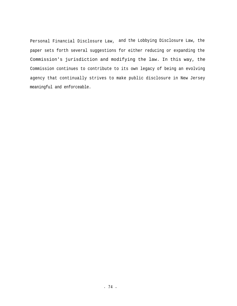Personal Financial Disclosure Law, and the Lobbying Disclosure Law, the paper sets forth several suggestions for either reducing or expanding the Commission's jurisdiction and modifying the law. In this way, the Commission continues to contribute to its own legacy of being an evolving agency that continually strives to make public disclosure in New Jersey meaningful and enforceable.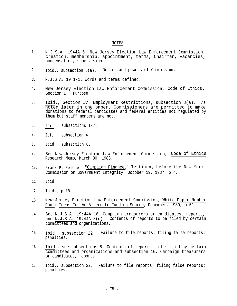## NOTES

- 1. N.J.S.A. 1944A-5. New Jersey Election Law Enforcement Commission, creation, membership, appointment, terms, Chairman, vacancies, compensation, supervision.
- 2. Ibid., subsection  $6(a)$ . Duties and powers of Commission.
- 3. N.J.S.A. 19:1-1. Words and terms defined.
- 4. New Jersey Election Law Enforcement Commission, Code of Ethics, Section I - Purpose.
- Ibid., Section IV. Employment Restrictions, subsection 8(a). As noted later in the paper, Commissioners are permitted to make donations to federal candidates and federal entities not regulated by them but staff members are not. 5.
- 6. Ibid., subsections 1-7.
- 7. Ibid., subsection 4.
- 8. Ibid., subsection 6.
- 9. See New Jersey Election Law Enforcement Commission, Code of Ethics Research Memo, March 30, 1988.
- 10. Frank P. Reiche, "Campaign Finance," Testimony before the New York Commission on Government Integrity, October 19, 1987, p.4.
- 11. Ibid.
- 12. Ibid., p.18.
- New Jersey Election Law Enforcement Commission, White Paper Number Four: Ideas For An Alternate Funding Source, December, 1989, p.51. 13.
- 14. See N.J.S.A. 19:44A-16. Campaign treasurers or candidates, reports, and  $\overline{N.J.S.A}$ . 19:44A-8(c). Contents of reports to be filed by certain committees and organizations.
- 15. Ibid., subsection 22. Failure to file reports; filing false reports; penalties.
- Ibid., see subsections 8. Contents of reports to be filed by certain committees and organizations and subsection 16. Campaign treasurers or candidates, reports. 16.
- 17. Ibid., subsection 22. Failure to file reports; filing false reports; penalties.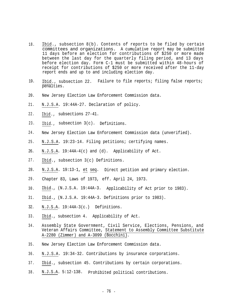- 18. Ibid., subsection 8(b). Contents of reports to be filed by certain committees and organizations. A cumulative report may be submitted 11 days before an election for contributions of \$250 or more made between the last day for the quarterly filing period, and 13 days before election day. Form C-1 must be submitted within 48-hours of receipt for contributions of \$250 or more received after the 11-day report ends and up to and including election day.
- 19. Ibid., subsection 22. Failure to file reports; filing false reports; penalties.
- 20. New Jersey Election Law Enforcement Commission data.
- 21. N.J.S.A. 19:44A-27. Declaration of policy.
- 22. Ibid., subsections 27-41.
- 23. Ibid., subsection 3(c). Definitions.
- 24. New Jersey Election Law Enforcement Commission data (unverified).
- N.J.S.A. 19:23-14. Filing petitions; certifying names. 25.
- N.J.S.A. 19:44A-4(c) and (d). 26. Applicability of Act.
- 27. Ibid., subsection 3(c) Definitions.
- 28. N.J.S.A. 19:13-1, et seq. Direct petition and primary election.
- 29. Chapter 83, Laws of 1973, eff. April 24, 1973.
- 30. Ibid., (N.J.S.A. 19:44A-3. Applicability of Act prior to 1983).
- 31. Ibid., (N.J.S.A. 19:44A-3. Definitions prior to 1983).
- 32. N.J.S.A. 19:44A-3(c.) Definitions.
- 33. Ibid., subsection 4. Applicability of Act.
- 34. Assembly State Government, Civil Service, Elections, Pensions, and Veteran Affairs Committee, Statement to Assembly Committee Substitute A-2280 (Zimmer) and A-3099 (Bocchini).
- 35. New Jersey Election Law Enforcement Commission data.
- N.J.S.A. 19:34-32. Contributions by insurance corporations. 36.
- Ibid., subsection 45. Contributions by certain corporations. 37.
- 38. N.J.S.A. 5:12-138. Prohibited political contributions.